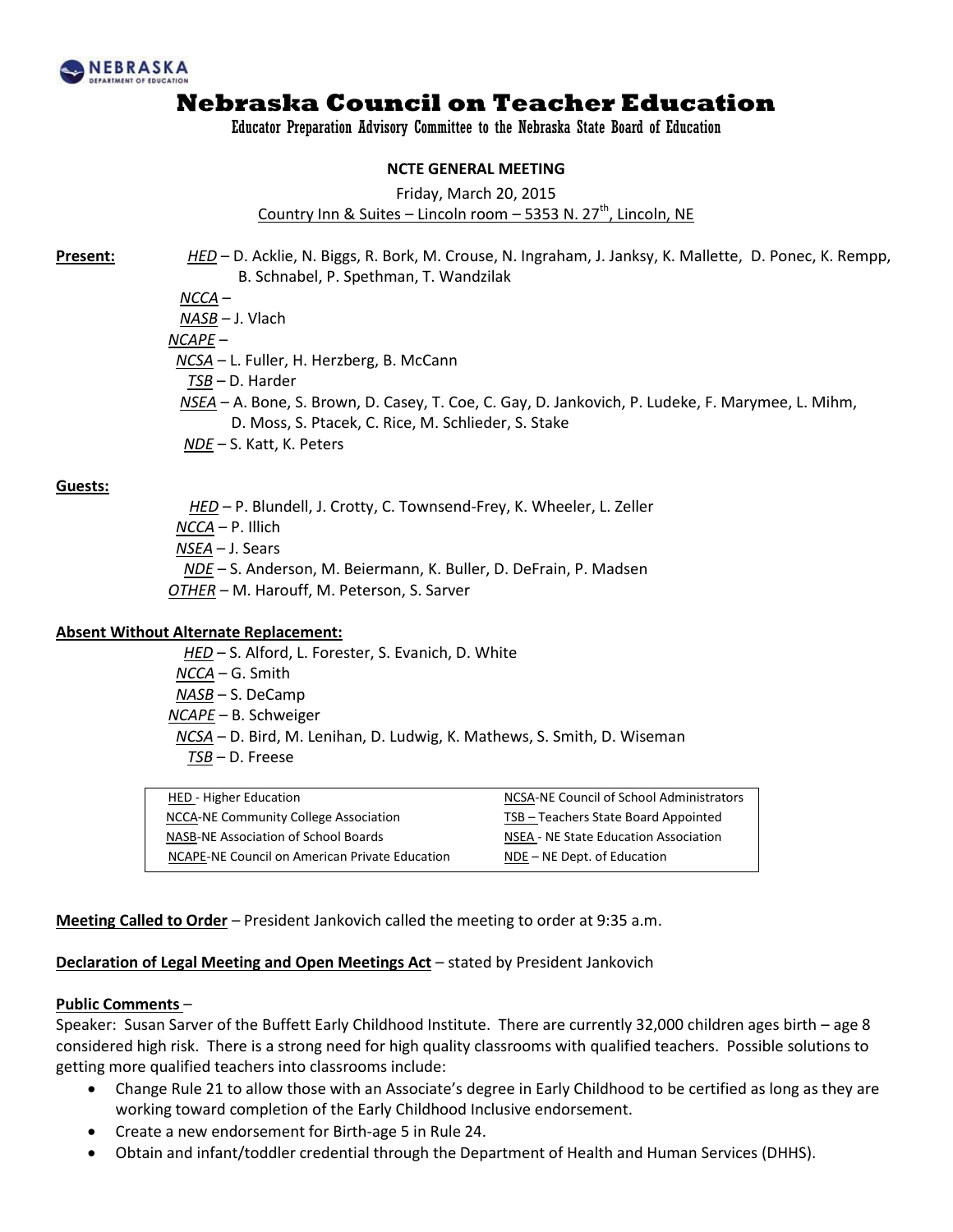

Educator Preparation Advisory Committee to the Nebraska State Board of Education

#### **NCTE GENERAL MEETING**

Friday, March 20, 2015

Country Inn & Suites - Lincoln room - 5353 N. 27<sup>th</sup>, Lincoln, NE

**Present:** *HED* – D. Acklie, N. Biggs, R. Bork, M. Crouse, N. Ingraham, J. Janksy, K. Mallette, D. Ponec, K. Rempp, B. Schnabel, P. Spethman, T. Wandzilak

*NCCA* –

 *NASB –* J. Vlach *NCAPE* – *NCSA –* L. Fuller, H. Herzberg, B. McCann  *TSB –* D. Harder *NSEA* – A. Bone, S. Brown, D. Casey, T. Coe, C. Gay, D. Jankovich, P. Ludeke, F. Marymee, L. Mihm, D. Moss, S. Ptacek, C. Rice, M. Schlieder, S. Stake *NDE* – S. Katt, K. Peters

#### **Guests:**

*HED* – P. Blundell, J. Crotty, C. Townsend-Frey, K. Wheeler, L. Zeller *NCCA* – P. Illich *NSEA* – J. Sears *NDE* – S. Anderson, M. Beiermann, K. Buller, D. DeFrain, P. Madsen *OTHER* – M. Harouff, M. Peterson, S. Sarver

#### **Absent Without Alternate Replacement:**

 *HED* – S. Alford, L. Forester, S. Evanich, D. White *NCCA* – G. Smith *NASB* – S. DeCamp *NCAPE* – B. Schweiger *NCSA* – D. Bird, M. Lenihan, D. Ludwig, K. Mathews, S. Smith, D. Wiseman *TSB* – D. Freese

| HED - Higher Education                         | NCSA-NE Council of School Administrators |
|------------------------------------------------|------------------------------------------|
| NCCA-NE Community College Association          | TSB - Teachers State Board Appointed     |
| NASB-NE Association of School Boards           | NSEA - NE State Education Association    |
| NCAPE-NE Council on American Private Education | NDE – NE Dept. of Education              |

**Meeting Called to Order** – President Jankovich called the meeting to order at 9:35 a.m.

#### **Declaration of Legal Meeting and Open Meetings Act** – stated by President Jankovich

#### **Public Comments** –

Speaker: Susan Sarver of the Buffett Early Childhood Institute. There are currently 32,000 children ages birth – age 8 considered high risk. There is a strong need for high quality classrooms with qualified teachers. Possible solutions to getting more qualified teachers into classrooms include:

- Change Rule 21 to allow those with an Associate's degree in Early Childhood to be certified as long as they are working toward completion of the Early Childhood Inclusive endorsement.
- Create a new endorsement for Birth-age 5 in Rule 24.
- Obtain and infant/toddler credential through the Department of Health and Human Services (DHHS).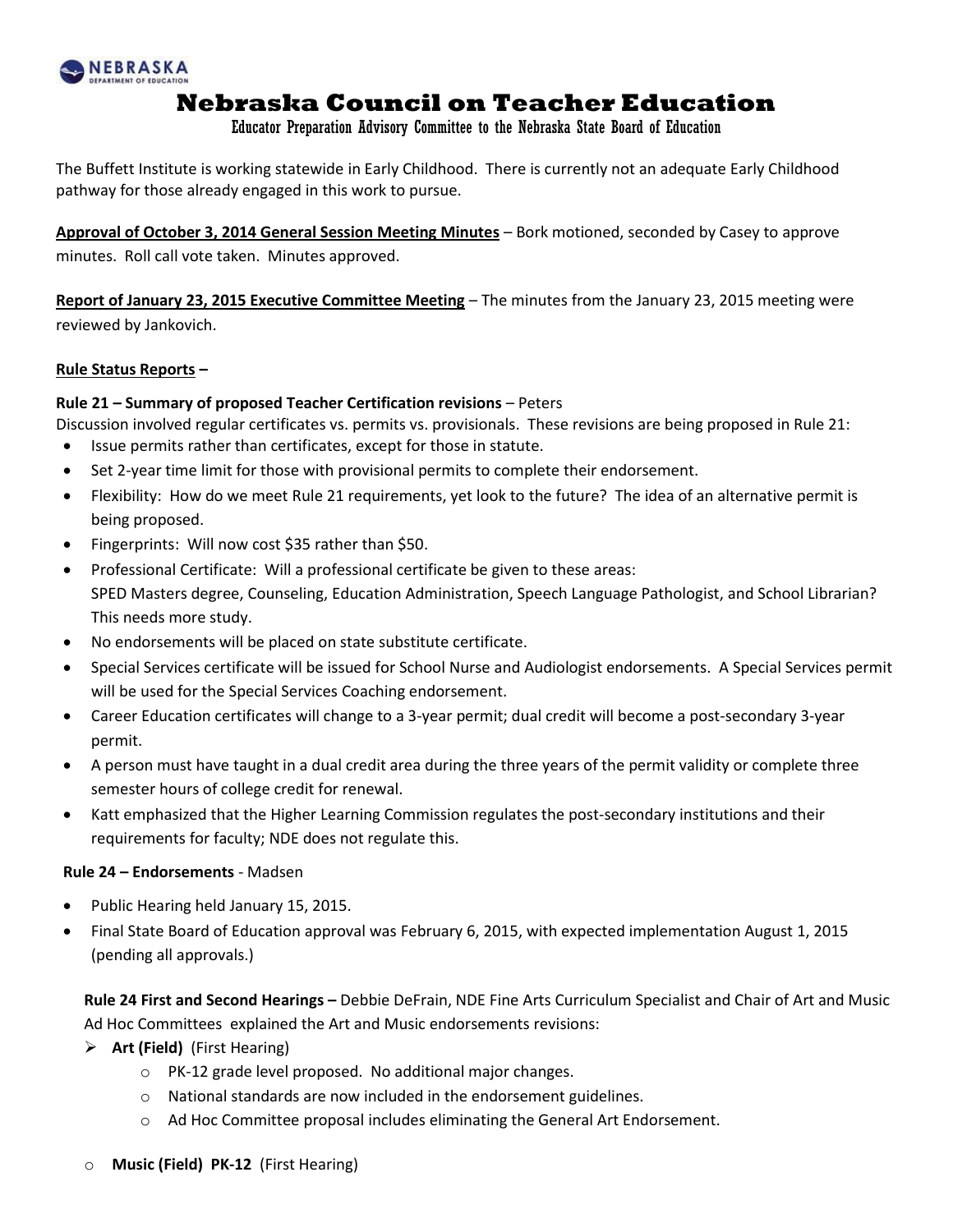

Educator Preparation Advisory Committee to the Nebraska State Board of Education

The Buffett Institute is working statewide in Early Childhood. There is currently not an adequate Early Childhood pathway for those already engaged in this work to pursue.

**Approval of October 3, 2014 General Session Meeting Minutes** – Bork motioned, seconded by Casey to approve minutes. Roll call vote taken. Minutes approved.

**Report of January 23, 2015 Executive Committee Meeting** – The minutes from the January 23, 2015 meeting were reviewed by Jankovich.

### **Rule Status Reports –**

### **Rule 21 – Summary of proposed Teacher Certification revisions** – Peters

Discussion involved regular certificates vs. permits vs. provisionals. These revisions are being proposed in Rule 21:

- Issue permits rather than certificates, except for those in statute.
- Set 2-year time limit for those with provisional permits to complete their endorsement.
- Flexibility: How do we meet Rule 21 requirements, yet look to the future? The idea of an alternative permit is being proposed.
- Fingerprints: Will now cost \$35 rather than \$50.
- Professional Certificate: Will a professional certificate be given to these areas: SPED Masters degree, Counseling, Education Administration, Speech Language Pathologist, and School Librarian? This needs more study.
- No endorsements will be placed on state substitute certificate.
- Special Services certificate will be issued for School Nurse and Audiologist endorsements. A Special Services permit will be used for the Special Services Coaching endorsement.
- Career Education certificates will change to a 3-year permit; dual credit will become a post-secondary 3-year permit.
- A person must have taught in a dual credit area during the three years of the permit validity or complete three semester hours of college credit for renewal.
- Katt emphasized that the Higher Learning Commission regulates the post-secondary institutions and their requirements for faculty; NDE does not regulate this.

#### **Rule 24 – Endorsements** - Madsen

- Public Hearing held January 15, 2015.
- Final State Board of Education approval was February 6, 2015, with expected implementation August 1, 2015 (pending all approvals.)

**Rule 24 First and Second Hearings –** Debbie DeFrain, NDE Fine Arts Curriculum Specialist and Chair of Art and Music Ad Hoc Committees explained the Art and Music endorsements revisions:

- **Art (Field)** (First Hearing)
	- o PK-12 grade level proposed. No additional major changes.
	- o National standards are now included in the endorsement guidelines.
	- o Ad Hoc Committee proposal includes eliminating the General Art Endorsement.
- **Music (Field) PK-12** (First Hearing)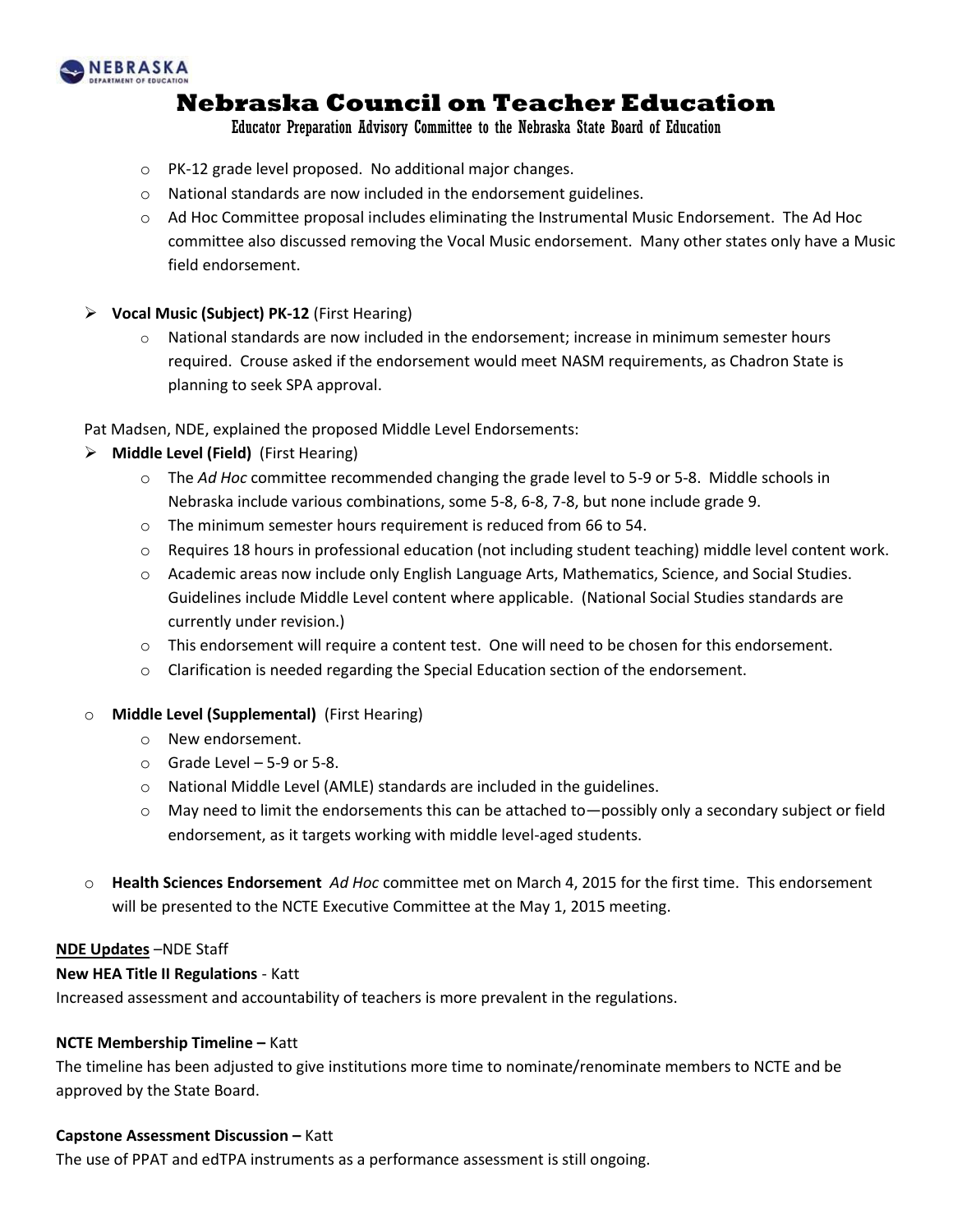

Educator Preparation Advisory Committee to the Nebraska State Board of Education

- o PK-12 grade level proposed. No additional major changes.
- $\circ$  National standards are now included in the endorsement guidelines.
- $\circ$  Ad Hoc Committee proposal includes eliminating the Instrumental Music Endorsement. The Ad Hoc committee also discussed removing the Vocal Music endorsement. Many other states only have a Music field endorsement.
- **Vocal Music (Subject) PK-12** (First Hearing)
	- $\circ$  National standards are now included in the endorsement; increase in minimum semester hours required. Crouse asked if the endorsement would meet NASM requirements, as Chadron State is planning to seek SPA approval.

Pat Madsen, NDE, explained the proposed Middle Level Endorsements:

- **Middle Level (Field)** (First Hearing)
	- o The *Ad Hoc* committee recommended changing the grade level to 5-9 or 5-8. Middle schools in Nebraska include various combinations, some 5-8, 6-8, 7-8, but none include grade 9.
	- o The minimum semester hours requirement is reduced from 66 to 54.
	- $\circ$  Requires 18 hours in professional education (not including student teaching) middle level content work.
	- o Academic areas now include only English Language Arts, Mathematics, Science, and Social Studies. Guidelines include Middle Level content where applicable. (National Social Studies standards are currently under revision.)
	- $\circ$  This endorsement will require a content test. One will need to be chosen for this endorsement.
	- $\circ$  Clarification is needed regarding the Special Education section of the endorsement.
- o **Middle Level (Supplemental)** (First Hearing)
	- o New endorsement.
	- $\circ$  Grade Level 5-9 or 5-8.
	- o National Middle Level (AMLE) standards are included in the guidelines.
	- o May need to limit the endorsements this can be attached to—possibly only a secondary subject or field endorsement, as it targets working with middle level-aged students.
- o **Health Sciences Endorsement** *Ad Hoc* committee met on March 4, 2015 for the first time. This endorsement will be presented to the NCTE Executive Committee at the May 1, 2015 meeting.

#### **NDE Updates** –NDE Staff

#### **New HEA Title II Regulations** - Katt

Increased assessment and accountability of teachers is more prevalent in the regulations.

#### **NCTE Membership Timeline –** Katt

The timeline has been adjusted to give institutions more time to nominate/renominate members to NCTE and be approved by the State Board.

#### **Capstone Assessment Discussion –** Katt

The use of PPAT and edTPA instruments as a performance assessment is still ongoing.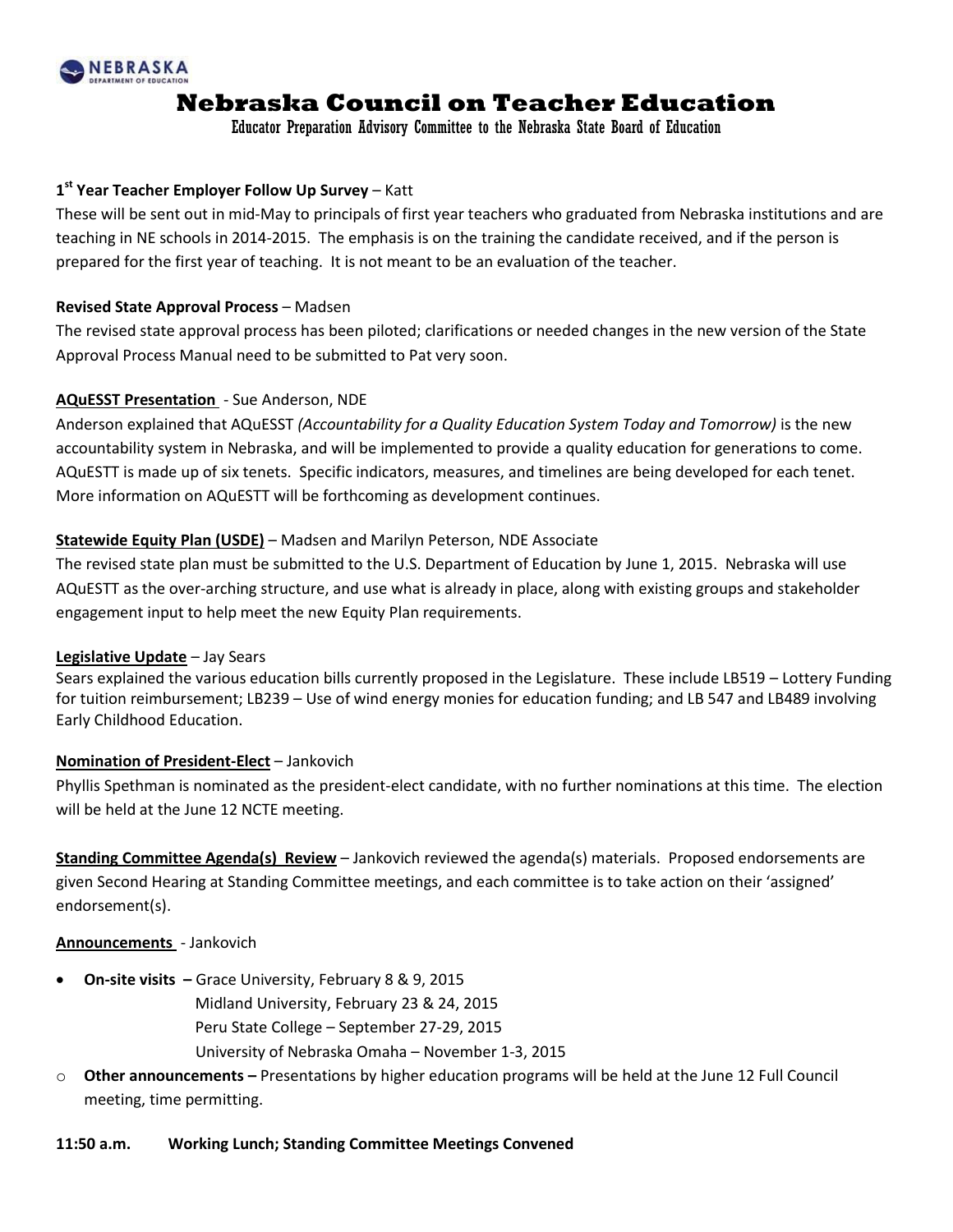

Educator Preparation Advisory Committee to the Nebraska State Board of Education

## **1 st Year Teacher Employer Follow Up Survey** – Katt

These will be sent out in mid-May to principals of first year teachers who graduated from Nebraska institutions and are teaching in NE schools in 2014-2015. The emphasis is on the training the candidate received, and if the person is prepared for the first year of teaching. It is not meant to be an evaluation of the teacher.

#### **Revised State Approval Process** – Madsen

The revised state approval process has been piloted; clarifications or needed changes in the new version of the State Approval Process Manual need to be submitted to Pat very soon.

### **AQuESST Presentation** - Sue Anderson, NDE

Anderson explained that AQuESST *(Accountability for a Quality Education System Today and Tomorrow)* is the new accountability system in Nebraska, and will be implemented to provide a quality education for generations to come. AQuESTT is made up of six tenets. Specific indicators, measures, and timelines are being developed for each tenet. More information on AQuESTT will be forthcoming as development continues.

### **Statewide Equity Plan (USDE)** – Madsen and Marilyn Peterson, NDE Associate

The revised state plan must be submitted to the U.S. Department of Education by June 1, 2015. Nebraska will use AQuESTT as the over-arching structure, and use what is already in place, along with existing groups and stakeholder engagement input to help meet the new Equity Plan requirements.

#### **Legislative Update** – Jay Sears

Sears explained the various education bills currently proposed in the Legislature. These include LB519 – Lottery Funding for tuition reimbursement; LB239 – Use of wind energy monies for education funding; and LB 547 and LB489 involving Early Childhood Education.

#### **Nomination of President-Elect** – Jankovich

Phyllis Spethman is nominated as the president-elect candidate, with no further nominations at this time. The election will be held at the June 12 NCTE meeting.

**Standing Committee Agenda(s) Review** – Jankovich reviewed the agenda(s) materials. Proposed endorsements are given Second Hearing at Standing Committee meetings, and each committee is to take action on their 'assigned' endorsement(s).

#### **Announcements** - Jankovich

- **On-site visits –** Grace University, February 8 & 9, 2015
	- Midland University, February 23 & 24, 2015 Peru State College – September 27-29, 2015 University of Nebraska Omaha – November 1-3, 2015
- o **Other announcements –** Presentations by higher education programs will be held at the June 12 Full Council meeting, time permitting.

#### **11:50 a.m. Working Lunch; Standing Committee Meetings Convened**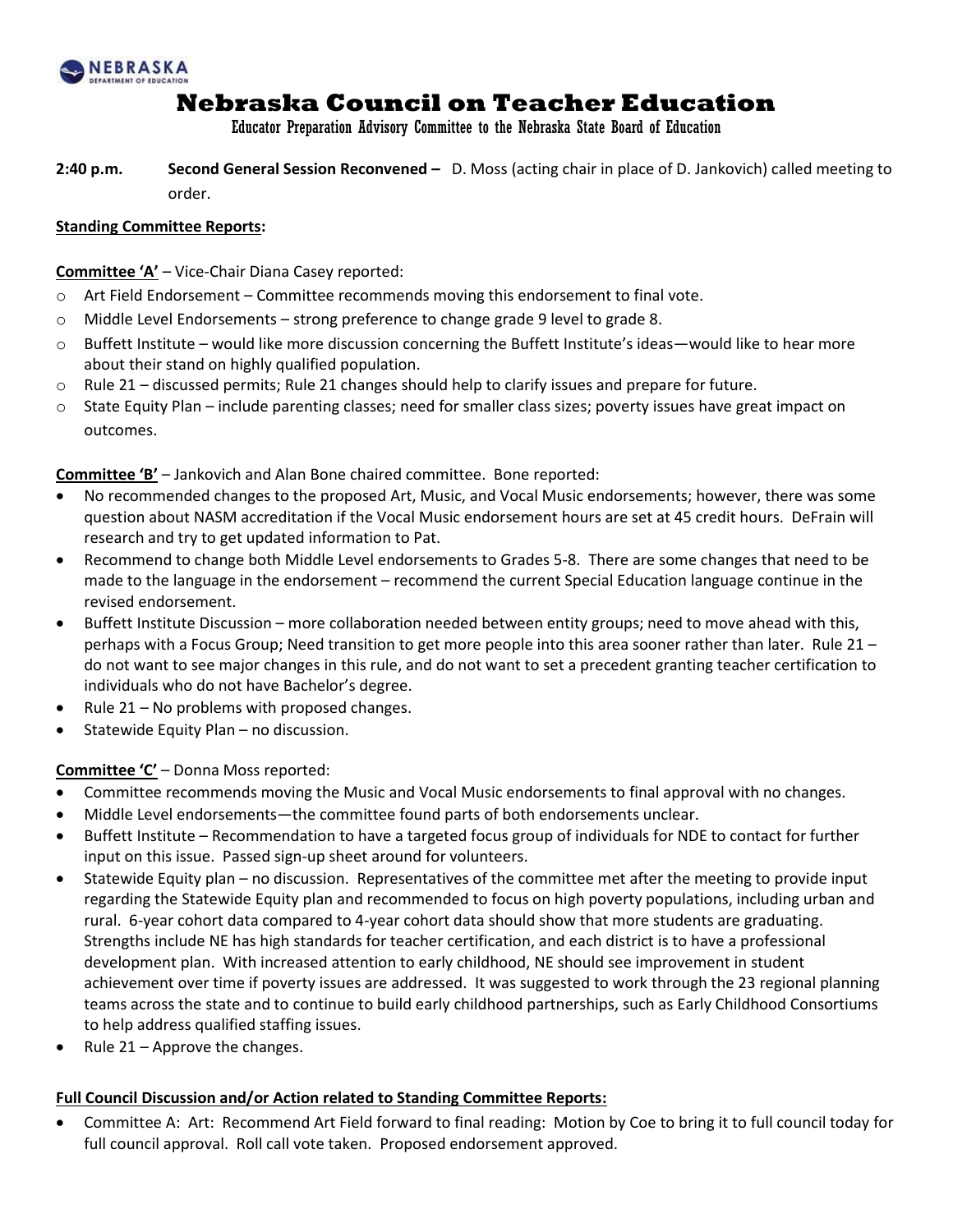

Educator Preparation Advisory Committee to the Nebraska State Board of Education

**2:40 p.m. Second General Session Reconvened –** D. Moss (acting chair in place of D. Jankovich) called meeting to order.

### **Standing Committee Reports:**

#### **Committee 'A'** – Vice-Chair Diana Casey reported:

- $\circ$  Art Field Endorsement Committee recommends moving this endorsement to final vote.
- $\circ$  Middle Level Endorsements strong preference to change grade 9 level to grade 8.
- $\circ$  Buffett Institute would like more discussion concerning the Buffett Institute's ideas—would like to hear more about their stand on highly qualified population.
- $\circ$  Rule 21 discussed permits; Rule 21 changes should help to clarify issues and prepare for future.
- o State Equity Plan include parenting classes; need for smaller class sizes; poverty issues have great impact on outcomes.

**Committee 'B'** – Jankovich and Alan Bone chaired committee. Bone reported:

- No recommended changes to the proposed Art, Music, and Vocal Music endorsements; however, there was some question about NASM accreditation if the Vocal Music endorsement hours are set at 45 credit hours. DeFrain will research and try to get updated information to Pat.
- Recommend to change both Middle Level endorsements to Grades 5-8. There are some changes that need to be made to the language in the endorsement – recommend the current Special Education language continue in the revised endorsement.
- Buffett Institute Discussion more collaboration needed between entity groups; need to move ahead with this, perhaps with a Focus Group; Need transition to get more people into this area sooner rather than later. Rule 21 – do not want to see major changes in this rule, and do not want to set a precedent granting teacher certification to individuals who do not have Bachelor's degree.
- Rule  $21 No$  problems with proposed changes.
- Statewide Equity Plan no discussion.

## **Committee 'C'** – Donna Moss reported:

- Committee recommends moving the Music and Vocal Music endorsements to final approval with no changes.
- Middle Level endorsements—the committee found parts of both endorsements unclear.
- Buffett Institute Recommendation to have a targeted focus group of individuals for NDE to contact for further input on this issue. Passed sign-up sheet around for volunteers.
- Statewide Equity plan no discussion. Representatives of the committee met after the meeting to provide input regarding the Statewide Equity plan and recommended to focus on high poverty populations, including urban and rural. 6-year cohort data compared to 4-year cohort data should show that more students are graduating. Strengths include NE has high standards for teacher certification, and each district is to have a professional development plan. With increased attention to early childhood, NE should see improvement in student achievement over time if poverty issues are addressed. It was suggested to work through the 23 regional planning teams across the state and to continue to build early childhood partnerships, such as Early Childhood Consortiums to help address qualified staffing issues.
- Rule 21 Approve the changes.

#### **Full Council Discussion and/or Action related to Standing Committee Reports:**

 Committee A: Art: Recommend Art Field forward to final reading: Motion by Coe to bring it to full council today for full council approval. Roll call vote taken. Proposed endorsement approved.